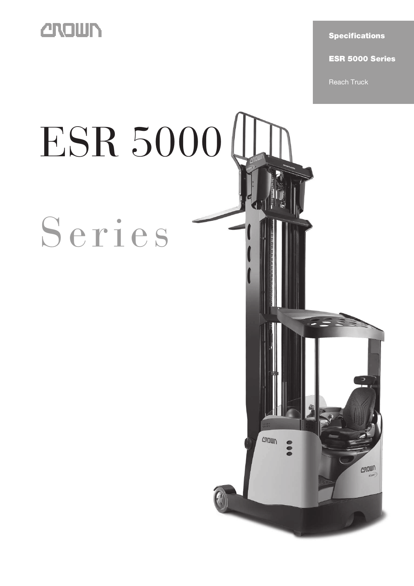

ESR 5000 Series

Reach Truck

# ESR 5000 L

Series

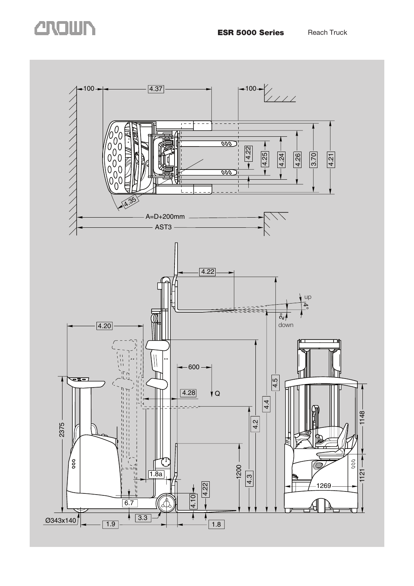

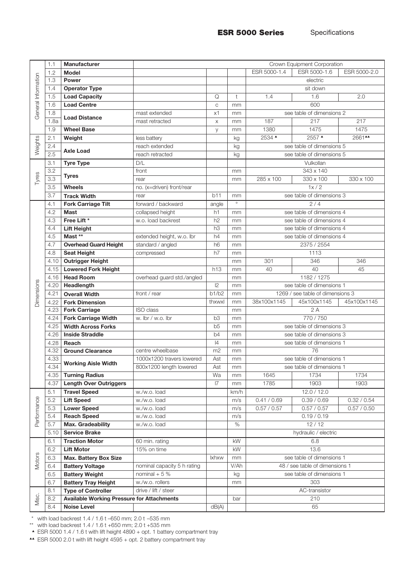**ESR 5000 Series** Specifications

|                     | 1.1        | <b>Manufacturer</b>                                 |                              |                      |              |                                                             | Crown Equipment Corporation      |                    |  |
|---------------------|------------|-----------------------------------------------------|------------------------------|----------------------|--------------|-------------------------------------------------------------|----------------------------------|--------------------|--|
|                     | 1.2        | <b>Model</b>                                        |                              |                      |              | ESR 5000-1.4                                                | ESR 5000-1.6                     | ESR 5000-2.0       |  |
|                     | 1.3        | Power                                               |                              |                      |              |                                                             | electric                         |                    |  |
|                     | 1.4        | <b>Operator Type</b>                                |                              |                      |              |                                                             | sit down                         |                    |  |
|                     | 1.5        | <b>Load Capacity</b>                                |                              | Q                    | $\mathsf{t}$ | 1.4                                                         | 1.6                              | 2.0                |  |
| General Information | 1.6        | <b>Load Centre</b>                                  |                              | $\mathsf{C}$         | mm           |                                                             | 600                              |                    |  |
|                     | 1.8        |                                                     | mast extended                | x1                   | mm           |                                                             | see table of dimensions 2        |                    |  |
|                     | 1.8a       | <b>Load Distance</b>                                | mast retracted               | X                    | mm           | 187                                                         | 217                              | 217                |  |
|                     | 1.9        | <b>Wheel Base</b>                                   |                              | y                    | mm           | 1380                                                        | 1475                             | 1475               |  |
|                     | 2.1        | Weight                                              | less battery                 |                      | kg           | $2534 -$                                                    | 2557 ▲                           | 2661 <sup>44</sup> |  |
| Weights             | 2.4        |                                                     | reach extended               |                      | kg           |                                                             | see table of dimensions 5        |                    |  |
|                     | 2.5        | <b>Axle Load</b>                                    | reach retracted              |                      | kg           |                                                             | see table of dimensions 5        |                    |  |
|                     | 3.1        | <b>Tyre Type</b>                                    | D/L                          |                      |              |                                                             | Vulkollan                        |                    |  |
|                     | 3.2        |                                                     | front                        |                      | mm           |                                                             | 343 x 140                        |                    |  |
| Tyres               | 3.3        | <b>Tyres</b>                                        | rear                         |                      | mm           | 285 x 100<br>330 x 100<br>330 x 100                         |                                  |                    |  |
|                     | 3.5        | <b>Wheels</b>                                       | no. (x=driven) front/rear    |                      |              |                                                             | 1x/2                             |                    |  |
|                     | 3.7        | <b>Track Width</b>                                  | rear                         | b11                  | mm           |                                                             | see table of dimensions 3        |                    |  |
|                     | 4.1        | <b>Fork Carriage Tilt</b>                           | forward / backward           | angle                | $\circ$      |                                                             | 2/4                              |                    |  |
|                     | 4.2        | <b>Mast</b>                                         | collapsed height             | h1                   | mm           |                                                             | see table of dimensions 4        |                    |  |
|                     | 4.3        | Free Lift *                                         | w.o. load backrest           | h <sub>2</sub>       | mm           |                                                             | see table of dimensions 4        |                    |  |
|                     | 4.4        | <b>Lift Height</b>                                  |                              | h <sub>3</sub>       | mm           |                                                             | see table of dimensions 4        |                    |  |
|                     | 4.5        | Mast **                                             | extended height, w.o. lbr    | h4                   | mm           | see table of dimensions 4                                   |                                  |                    |  |
|                     | 4.7        | <b>Overhead Guard Height</b>                        | standard / angled            | h <sub>6</sub>       | mm           | 2375 / 2554                                                 |                                  |                    |  |
|                     | 4.8        | <b>Seat Height</b>                                  | compressed                   | h7                   | mm           | 1113                                                        |                                  |                    |  |
|                     | 4.10       | <b>Outrigger Height</b>                             |                              |                      | mm           | 301                                                         | 346                              | 346                |  |
|                     | 4.15       | <b>Lowered Fork Height</b>                          |                              | h13                  | mm           | 40                                                          | 40                               | 45                 |  |
|                     | 4.16       | <b>Head Room</b>                                    | overhead guard std./angled   |                      | mm           |                                                             | 1182 / 1275                      |                    |  |
|                     | 4.20       | Headlength                                          |                              | 2                    | mm           | see table of dimensions 1                                   |                                  |                    |  |
| Dimensions          | 4.21       | <b>Overall Width</b>                                | front / rear                 | b1/b2                | mm           |                                                             | 1269 / see table of dimensions 3 |                    |  |
|                     | 4.22       | <b>Fork Dimension</b>                               |                              | thxwxl               | mm           | 38x100x1145                                                 | 45x100x1145                      | 45x100x1145        |  |
|                     | 4.23       | <b>Fork Carriage</b>                                | <b>ISO</b> class             |                      | mm           | 2A                                                          |                                  |                    |  |
|                     | 4.24       | <b>Fork Carriage Width</b>                          | w. $Ibr / w.o.$ Ibr          | b <sub>3</sub>       | mm           | 770/750                                                     |                                  |                    |  |
|                     | 4.25       | <b>Width Across Forks</b>                           |                              | b5                   | mm           | see table of dimensions 3                                   |                                  |                    |  |
|                     | 4.26       | <b>Inside Straddle</b>                              |                              | b <sub>4</sub><br> 4 | mm           | see table of dimensions 3                                   |                                  |                    |  |
|                     | 4.28       | Reach                                               |                              |                      |              |                                                             | see table of dimensions 1        |                    |  |
|                     | 4.32       | <b>Ground Clearance</b>                             | centre wheelbase             | m2                   | mm           |                                                             | 76                               |                    |  |
|                     | 4.33       | <b>Working Aisle Width</b>                          | 1000x1200 travers lowered    | Ast                  | mm           |                                                             | see table of dimensions 1        |                    |  |
|                     | 4.34       |                                                     | 800x1200 length lowered      | Ast                  | mm           | see table of dimensions 1                                   |                                  |                    |  |
|                     | 4.35       | <b>Turning Radius</b>                               |                              | Wa                   | mm           | 1645                                                        | 1734                             | 1734               |  |
|                     | 4.37       | <b>Length Over Outriggers</b>                       |                              | 7                    | mm           | 1785                                                        | 1903                             | 1903               |  |
|                     | 5.1        | <b>Travel Speed</b>                                 | w./w.o. load                 |                      | km/h         |                                                             | 12.0 / 12.0                      |                    |  |
| Performance         | 5.2        | <b>Lift Speed</b>                                   | w./w.o. load                 |                      | m/s          | 0.41 / 0.69                                                 | 0.39 / 0.69                      | 0.32 / 0.54        |  |
|                     | 5.3        | <b>Lower Speed</b>                                  | w./w.o. load                 |                      | m/s          | 0.57 / 0.57                                                 | 0.57 / 0.57                      | 0.57 / 0.50        |  |
|                     | 5.4<br>5.7 | <b>Reach Speed</b><br>Max. Gradeability             | w./w.o. load<br>w./w.o. load |                      | m/s<br>%     | 0.19 / 0.19                                                 |                                  |                    |  |
|                     | 5.10       | <b>Service Brake</b>                                |                              |                      |              |                                                             | 12/12                            |                    |  |
|                     |            |                                                     |                              |                      |              | hydraulic / electric                                        |                                  |                    |  |
|                     | 6.1<br>6.2 | <b>Traction Motor</b><br><b>Lift Motor</b>          | 60 min. rating               |                      | kW<br>kW     | 6.8                                                         |                                  |                    |  |
|                     |            |                                                     | 15% on time                  |                      | mm           |                                                             | 13.6                             |                    |  |
| <b>Motors</b>       | 6.3        | Max. Battery Box Size                               | nominal capacity 5 h rating  | <b>Ixhxw</b>         | V/Ah         | see table of dimensions 1<br>48 / see table of dimensions 1 |                                  |                    |  |
|                     | 6.4        | <b>Battery Voltage</b>                              | nominal $+5%$                |                      | kg           |                                                             | see table of dimensions 1        |                    |  |
|                     | 6.5<br>6.7 | <b>Battery Weight</b><br><b>Battery Tray Height</b> | w./w.o. rollers              |                      | mm           |                                                             | 303                              |                    |  |
|                     | 8.1        | <b>Type of Controller</b>                           | drive / lift / steer         |                      |              |                                                             | AC-transistor                    |                    |  |
| Misc.               | 8.2        | <b>Available Working Pressure for Attachments</b>   |                              |                      | bar          |                                                             | 210                              |                    |  |
|                     | 8.4        | <b>Noise Level</b>                                  |                              | dB(A)                |              |                                                             | 65                               |                    |  |
|                     |            |                                                     |                              |                      |              |                                                             |                                  |                    |  |

\* with load backrest  $1.4 / 1.6$  t –650 mm; 2.0 t –535 mm

\*\* with load backrest 1.4 / 1.6 t +650 mm; 2.0 t +535 mm

▲▲ ESR 5000 1.4 / 1.6 t with lift height 4890 + opt. 1 battery compartment tray

▲▲ ESR 5000 2.0 t with lift height 4595 + opt. 2 battery compartment tray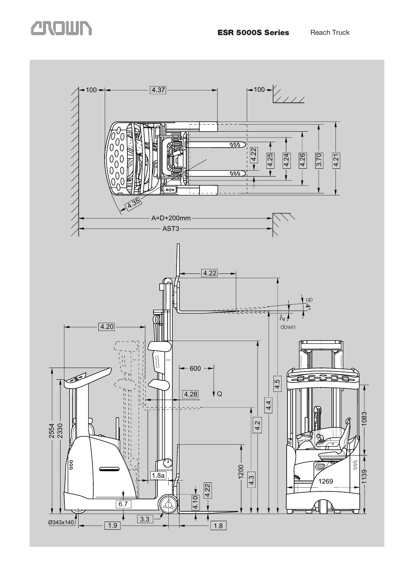

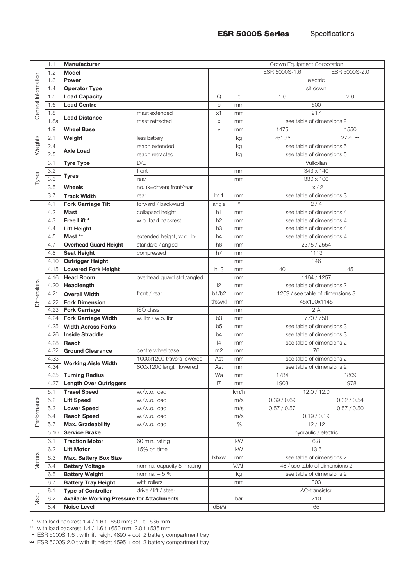|                     | 1.1          | <b>Manufacturer</b>                               |                             |                |            | Crown Equipment Corporation                            |               |  |  |
|---------------------|--------------|---------------------------------------------------|-----------------------------|----------------|------------|--------------------------------------------------------|---------------|--|--|
|                     | 1.2          | <b>Model</b>                                      |                             |                |            | ESR 5000S-1.6                                          | ESR 5000S-2.0 |  |  |
|                     | 1.3          | Power                                             |                             |                |            | electric                                               |               |  |  |
|                     | 1.4          | <b>Operator Type</b>                              |                             |                |            | sit down                                               |               |  |  |
|                     | 1.5          | <b>Load Capacity</b>                              |                             | Q              | $\ddagger$ | 1.6                                                    | 2.0           |  |  |
|                     | 1.6          | <b>Load Centre</b>                                |                             | $\mathsf{C}$   | mm         | 600                                                    |               |  |  |
| General Information | 1.8          |                                                   | mast extended               | x1             | mm         | 217                                                    |               |  |  |
|                     | 1.8a         | <b>Load Distance</b>                              | mast retracted              | X              | mm         | see table of dimensions 2                              |               |  |  |
|                     | 1.9          | <b>Wheel Base</b>                                 |                             | У              | mm         | 1475                                                   | 1550          |  |  |
|                     | 2.1          | Weight                                            | less battery                |                | kg         | 2619 ª                                                 | $2729$ as     |  |  |
| Weights             | 2.4          |                                                   | reach extended              |                | kg         | see table of dimensions 5                              |               |  |  |
| Tyres               | 2.5          | <b>Axle Load</b>                                  | reach retracted             |                | kg         | see table of dimensions 5                              |               |  |  |
|                     | 3.1          | <b>Tyre Type</b>                                  | D/L                         |                |            | Vulkollan                                              |               |  |  |
|                     | 3.2          |                                                   | front                       |                | mm         | 343 x 140                                              |               |  |  |
|                     | 3.3          | <b>Tyres</b>                                      | rear                        |                | mm         | 330 x 100                                              |               |  |  |
|                     | 3.5          | <b>Wheels</b>                                     | no. (x=driven) front/rear   |                |            | 1x/2                                                   |               |  |  |
|                     | 3.7          | <b>Track Width</b>                                | rear                        | b11            | mm         | see table of dimensions 3                              |               |  |  |
|                     | 4.1          | <b>Fork Carriage Tilt</b>                         | forward / backward          | angle          | $\circ$    | 2/4                                                    |               |  |  |
|                     | 4.2          | <b>Mast</b>                                       | collapsed height            | h1             | mm         | see table of dimensions 4                              |               |  |  |
|                     | 4.3          | Free Lift *                                       | w.o. load backrest          | h <sub>2</sub> | mm         | see table of dimensions 4                              |               |  |  |
|                     | 4.4          | <b>Lift Height</b>                                |                             | h3             | mm         | see table of dimensions 4                              |               |  |  |
|                     | 4.5          | Mast **                                           | extended height, w.o. Ibr   | h4             | mm         | see table of dimensions 4                              |               |  |  |
|                     | 4.7          | <b>Overhead Guard Height</b>                      | standard / angled           | h <sub>6</sub> | mm         | 2375 / 2554                                            |               |  |  |
|                     | 4.8          | <b>Seat Height</b>                                | compressed                  | h7             | mm         | 1113                                                   |               |  |  |
|                     | 4.10         | <b>Outrigger Height</b>                           |                             |                | mm         | 346                                                    |               |  |  |
|                     | 4.15         | <b>Lowered Fork Height</b>                        |                             | h13            | mm         | 40                                                     | 45            |  |  |
|                     | 4.16         | <b>Head Room</b>                                  | overhead guard std./angled  |                | mm         | 1164 / 1257                                            |               |  |  |
| Dimensions          | 4.20         | Headlength                                        |                             | 12             | mm         | see table of dimensions 2                              |               |  |  |
|                     | 4.21         | <b>Overall Width</b>                              | front / rear                | b1/b2          | mm         | 1269 / see table of dimensions 3                       |               |  |  |
|                     | 4.22         | <b>Fork Dimension</b>                             |                             | thxwxl         | mm         | 45x100x1145                                            |               |  |  |
|                     | 4.23         | <b>Fork Carriage</b>                              | <b>ISO</b> class            |                | mm         | 2A                                                     |               |  |  |
|                     | 4.24         | <b>Fork Carriage Width</b>                        | w. lbr / w.o. lbr           | b <sub>3</sub> | mm         | 770/750                                                |               |  |  |
|                     | 4.25         | <b>Width Across Forks</b>                         |                             | b <sub>5</sub> | mm         | see table of dimensions 3                              |               |  |  |
|                     | 4.26         | <b>Inside Straddle</b>                            |                             | b4             | mm         | see table of dimensions 3                              |               |  |  |
|                     | 4.28         | Reach<br><b>Ground Clearance</b>                  |                             | 4              | mm         | see table of dimensions 2                              |               |  |  |
|                     | 4.32         |                                                   | centre wheelbase            | m2             | mm         | 76                                                     |               |  |  |
|                     | 4.33         | <b>Working Aisle Width</b>                        | 1000x1200 travers lowered   | Ast            | mm         | see table of dimensions 2<br>see table of dimensions 2 |               |  |  |
|                     | 4.34<br>4.35 | <b>Turning Radius</b>                             | 800x1200 length lowered     | Ast<br>Wa      | mm         | 1734                                                   | 1809          |  |  |
|                     | 4.37         | <b>Length Over Outriggers</b>                     |                             | 7              | mm<br>mm   | 1903                                                   | 1978          |  |  |
|                     | 5.1          | <b>Travel Speed</b>                               | w./w.o. load                |                | km/h       | 12.0 / 12.0                                            |               |  |  |
|                     | 5.2          | <b>Lift Speed</b>                                 | w./w.o. load                |                | m/s        | 0.39 / 0.69                                            | 0.32 / 0.54   |  |  |
| Performance         | 5.3          | <b>Lower Speed</b>                                | w./w.o. load                |                | m/s        | 0.57 / 0.57                                            | 0.57 / 0.50   |  |  |
|                     | 5.4          | <b>Reach Speed</b>                                | w./w.o. load                |                | m/s        | 0.19 / 0.19                                            |               |  |  |
|                     | 5.7          | <b>Max. Gradeability</b>                          | w./w.o. load                |                | $\%$       | 12/12                                                  |               |  |  |
|                     | 5.10         | <b>Service Brake</b>                              |                             |                |            | hydraulic / electric                                   |               |  |  |
|                     | 6.1          | <b>Traction Motor</b>                             | 60 min. rating              |                | kW         | 6.8                                                    |               |  |  |
|                     | 6.2          | <b>Lift Motor</b>                                 | 15% on time                 |                | kW         | 13.6                                                   |               |  |  |
|                     | 6.3          | Max. Battery Box Size                             |                             | <b>Ixhxw</b>   | mm         | see table of dimensions 2                              |               |  |  |
| <b>Motors</b>       | 6.4          | <b>Battery Voltage</b>                            | nominal capacity 5 h rating |                | V/Ah       | 48 / see table of dimensions 2                         |               |  |  |
|                     | 6.5          | <b>Battery Weight</b>                             | nominal $+5%$               |                | kg         | see table of dimensions 2                              |               |  |  |
|                     | 6.7          | <b>Battery Tray Height</b>                        | with rollers                |                | mm         | 303                                                    |               |  |  |
|                     | 8.1          | <b>Type of Controller</b>                         | drive / lift / steer        |                |            | AC-transistor                                          |               |  |  |
| Misc.               | 8.2          | <b>Available Working Pressure for Attachments</b> |                             |                | bar        | 210                                                    |               |  |  |
|                     | 8.4          | <b>Noise Level</b>                                |                             | dB(A)          |            | 65                                                     |               |  |  |
|                     |              |                                                   |                             |                |            |                                                        |               |  |  |

\* with load backrest  $1.4 / 1.6$  t –650 mm; 2.0 t –535 mm

\*\* with load backrest 1.4 / 1.6 t +650 mm; 2.0 t +535 mm

□ ESR 5000S 1.6 t with lift height 4890 + opt. 2 battery compartment tray

❏❏ ESR 5000S 2.0 t with lift height 4595 + opt. 3 battery compartment tray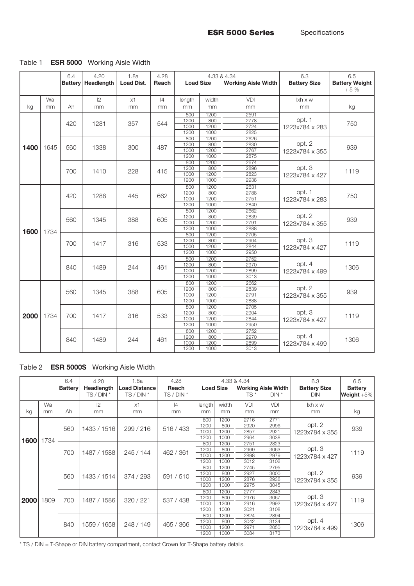|                                    |      | 6.4 | 4.20               | 1.8a              | 4.28  | 4.33 & 4.34      |              | 6.3                        | 6.5                      |                       |
|------------------------------------|------|-----|--------------------|-------------------|-------|------------------|--------------|----------------------------|--------------------------|-----------------------|
|                                    |      |     | Battery Headlength | <b>Load Dist.</b> | Reach | <b>Load Size</b> |              | <b>Working Aisle Width</b> | <b>Battery Size</b>      | <b>Battery Weight</b> |
|                                    |      |     |                    |                   |       |                  |              |                            |                          | $+5%$                 |
|                                    | Wa   |     | 2                  | x1                | 4     | length           | width        | VDI                        | lxh x w                  |                       |
|                                    | mm   | Ah  | mm                 | mm                | mm    | mm               | mm           | mm                         | mm                       | kg                    |
|                                    |      |     |                    |                   |       | 800              | 1200         | 2591                       |                          |                       |
|                                    |      | 420 | 1281               | 357               | 544   | 1200             | 800          | 2778                       | opt. 1                   | 750                   |
|                                    |      |     |                    |                   |       | 1000<br>1200     | 1200<br>1000 | 2724<br>2825               | 1223x784 x 283           |                       |
|                                    |      |     |                    |                   |       | 800              | 1200         | 2626                       |                          |                       |
|                                    |      |     |                    |                   |       | 1200             | 800          | 2830                       | opt. 2                   |                       |
|                                    | 1645 | 560 | 1338               | 300               | 487   | 1000             | 1200         | 2767                       | 1223x784 x 355           | 939                   |
|                                    |      |     |                    |                   |       | 1200             | 1000         | 2875                       |                          |                       |
|                                    |      |     |                    |                   |       | 800              | 1200         | 2674                       |                          |                       |
|                                    |      | 700 | 1410               | 228               | 415   | 1200             | 800          | 2896                       | opt. 3<br>1223x784 x 427 | 1119                  |
| kg<br>1400<br>1600<br>2000<br>1734 |      |     |                    |                   |       | 1000             | 1200         | 2823                       |                          |                       |
|                                    |      |     |                    |                   |       | 1200             | 1000         | 2938                       |                          |                       |
|                                    |      |     |                    |                   |       | 800              | 1200         | 2631                       |                          |                       |
|                                    |      | 420 | 1288               | 445               | 662   | 1200             | 800          | 2788                       | opt. 1                   | 750                   |
|                                    |      |     |                    |                   |       | 1000             | 1200         | 2751                       | 1223x784 x 283           |                       |
|                                    |      |     |                    |                   |       | 1200<br>800      | 1000<br>1200 | 2840<br>2662               |                          |                       |
|                                    |      |     |                    | 388               | 605   | 1200             | 800          | 2839                       | opt. 2                   |                       |
|                                    |      | 560 | 1345               |                   |       | 1000             | 1200         | 2791                       | 1223x784 x 355           | 939                   |
|                                    |      |     |                    |                   |       | 1200             | 1000         | 2888                       |                          |                       |
|                                    | 1734 |     |                    |                   |       | 800              | 1200         | 2705                       |                          |                       |
|                                    |      | 700 | 1417               | 316               | 533   | 1200             | 800          | 2904                       | opt. 3                   | 1119                  |
|                                    |      |     |                    |                   |       | 1000             | 1200         | 2844                       | 1223x784 x 427           |                       |
|                                    |      |     |                    |                   |       | 1200             | 1000         | 2950                       |                          |                       |
|                                    |      |     |                    |                   |       | 800              | 1200         | 2752                       |                          |                       |
|                                    |      | 840 | 1489               | 244               | 461   | 1200             | 800          | 2970                       | opt. 4                   | 1306                  |
|                                    |      |     |                    |                   |       | 1000<br>1200     | 1200<br>1000 | 2899<br>3013               | 1223x784 x 499           |                       |
|                                    |      |     |                    |                   |       | 800              | 1200         | 2662                       |                          |                       |
|                                    |      |     |                    |                   |       | 1200             | 800          | 2839                       | opt. 2                   |                       |
|                                    |      | 560 | 1345               | 388               | 605   | 1000             | 1200         | 2791                       | 1223x784 x 355           | 939                   |
|                                    |      |     |                    |                   |       | 1200             | 1000         | 2888                       |                          |                       |
|                                    |      |     |                    |                   |       | 800              | 1200         | 2705                       |                          |                       |
|                                    |      |     |                    |                   |       | 1200             | 800          | 2904                       | opt. 3                   |                       |
|                                    |      | 700 | 1417               | 316               | 533   | 1000             | 1200         | 2844                       | 1223x784 x 427           | 1119                  |
|                                    |      |     |                    |                   |       | 1200             | 1000         | 2950                       |                          |                       |
|                                    |      |     |                    |                   |       | 800              | 1200         | 2752                       |                          |                       |
|                                    |      | 840 | 1489               | 244               | 461   | 1200             | 800<br>1200  | 2970                       | opt. 4                   | 1306                  |
|                                    |      |     |                    |                   |       | 1000<br>1200     | 1000         | 2899<br>3013               | 1223x784 x 499           |                       |
|                                    |      |     |                    |                   |       |                  |              |                            |                          |                       |

# Table 1 **ESR 5000** Working Aisle Width

# Table 2 **ESR 5000S** Working Aisle Width

|      |          | 6.4<br><b>Battery</b> | 4.20<br>Headlength<br>$TS / DIN *$ | 1.8a<br><b>Load Distance</b><br>$TS/DIN^*$ | 4.28<br><b>Reach</b><br>TS / DIN * | <b>Load Size</b>            |                             | 4.33 & 4.34<br>TS *          | <b>Working Aisle Width</b><br>$DIN^*$ | 6.3<br><b>Battery Size</b><br><b>DIN</b> | 6.5<br><b>Battery</b><br>Weight $+5\%$ |
|------|----------|-----------------------|------------------------------------|--------------------------------------------|------------------------------------|-----------------------------|-----------------------------|------------------------------|---------------------------------------|------------------------------------------|----------------------------------------|
| kg   | Wa<br>mm | Ah                    | $ 2\rangle$<br>mm                  | $\times$ 1<br>mm                           | 4<br>mm                            | length<br>mm                | width<br>mm                 | VDI<br>mm                    | VDI<br>mm                             | $xh \times w$<br>mm                      | kg                                     |
|      |          | 560                   | 1433 / 1516                        | 299 / 216                                  | 516 / 433                          | 800<br>1200<br>1000<br>1200 | 1200<br>800<br>1200<br>1000 | 2716<br>2920<br>2857<br>2964 | 2771<br>2996<br>2921<br>3038          | opt. 2<br>1223x784 x 355                 | 939                                    |
| 1600 | 1734     | 700                   | 1487 / 1588                        | 245/144                                    | 462 / 361                          | 800<br>1200<br>1000<br>1200 | 1200<br>800<br>1200<br>1000 | 2751<br>2969<br>2898<br>3012 | 2823<br>3063<br>2979<br>3102          | opt. 3<br>1223x784 x 427                 | 1119                                   |
|      | 1809     | 560                   | 1433 / 1514                        | 374 / 293                                  | 591 / 510                          | 800<br>1200<br>1000<br>1200 | 1200<br>800<br>1200<br>1000 | 2745<br>2927<br>2876<br>2975 | 2795<br>3000<br>2936<br>3045          | opt. 2<br>1223x784 x 355                 | 939                                    |
| 2000 |          | 700                   | 1487 / 1586                        | 320/221                                    | 537 / 438                          | 800<br>1200<br>1000<br>1200 | 1200<br>800<br>1200<br>1000 | 2777<br>2976<br>2916<br>3021 | 2843<br>3067<br>2992<br>3108          | opt. 3<br>1223x784 x 427                 | 1119                                   |
|      |          | 840                   | 1559 / 1658                        | 248 / 149                                  | 465 / 366                          | 800<br>1200<br>1000<br>1200 | 1200<br>800<br>1200<br>1000 | 2824<br>3042<br>2971<br>3084 | 2894<br>3134<br>2050<br>3173          | opt. 4<br>1223x784 x 499                 | 1306                                   |

\* TS / DIN = T-Shape or DIN battery compartment, contact Crown for T-Shape battery details.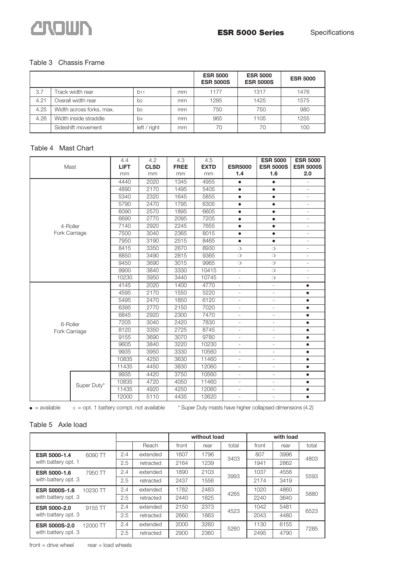

# Table 3 Chassis Frame

|      |                          | <b>ESR 5000</b><br><b>ESR 5000S</b> | <b>ESR 5000</b><br><b>ESR 5000S</b> | <b>ESR 5000</b> |      |      |
|------|--------------------------|-------------------------------------|-------------------------------------|-----------------|------|------|
| 3.7  | Track width rear         | b11                                 | mm                                  | 1177            | 1317 | 1476 |
| 4.21 | Overall width rear       | $b^2$                               | mm                                  | 1285            | 1425 | 1575 |
| 4.25 | Width across forks, max. | b <sub>5</sub>                      | mm                                  | 750             | 750  | 980  |
| 4.26 | Width inside straddle    | b4                                  | mm                                  | 965             | 1105 | 1255 |
|      | Sideshift movement       | left / right                        | mm                                  | 70              | 70   | 100  |

# Table 4 Mast Chart

|                           | 4.4         | 4.2         | 4.3         | 4.5         |                          | <b>ESR 5000</b>          | <b>ESR 5000</b>          |
|---------------------------|-------------|-------------|-------------|-------------|--------------------------|--------------------------|--------------------------|
| Mast                      | <b>LIFT</b> | <b>CLSD</b> | <b>FREE</b> | <b>EXTD</b> | <b>ESR5000</b>           | <b>ESR 5000S</b>         | <b>ESR 5000S</b>         |
|                           | mm          | mm          | mm          | mm          | 1.4                      | 1.6                      | 2.0                      |
|                           | 4440        | 2020        | 1345        | 4955        | $\bullet$                | $\bullet$                |                          |
|                           | 4890        | 2170        | 1495        | 5405        | $\bullet$                |                          |                          |
|                           | 5340        | 2320        | 1645        | 5855        | $\bullet$                | $\bullet$                | $\overline{\phantom{0}}$ |
| 4-Roller<br>Fork Carriage | 5790        | 2470        | 1795        | 6305        | $\bullet$                | $\bullet$                | $\frac{1}{2}$            |
|                           | 6090        | 2570        | 1895        | 6605        | $\bullet$                | $\bullet$                | $\overline{\phantom{0}}$ |
|                           | 6690        | 2770        | 2095        | 7205        | $\bullet$                | $\bullet$                |                          |
|                           | 7140        | 2920        | 2245        | 7655        | $\bullet$                | $\bullet$                | $\overline{a}$           |
|                           | 7500        | 3040        | 2365        | 8015        | $\bullet$                | $\bullet$                | $\frac{1}{2}$            |
|                           | 7950        | 3190        | 2515        | 8465        | $\bullet$                | $\bullet$                | $\overline{a}$           |
|                           | 8415        | 3350        | 2670        | 8930        | $\circ$                  | $\circ$                  | $\overline{\phantom{0}}$ |
|                           | 8850        | 3490        | 2815        | 9365        | $\circ$                  | $\circ$                  | L,                       |
|                           | 9450        | 3690        | 3015        | 9965        | $\circ$                  | $\circ$                  | $\frac{1}{2}$            |
|                           | 9900        | 3840        | 3330        | 10415       | $\overline{\phantom{a}}$ | $\circ$                  | L,                       |
|                           | 10230       | 3950        | 3440        | 10745       | L.                       | $\circ$                  | ÷,                       |
|                           | 4145        | 2020        | 1400        | 4770        | ä,                       | $\overline{\phantom{0}}$ | $\bullet$                |
|                           | 4595        | 2170        | 1550        | 5220        | ä,                       | $\overline{\phantom{a}}$ | $\bullet$                |
|                           | 5495        | 2470        | 1850        | 6120        | ÷                        | $\sim$                   | $\bullet$                |
|                           | 6395        | 2770        | 2150        | 7020        | ä,                       |                          | $\bullet$                |
|                           | 6845        | 2920        | 2300        | 7470        | $\overline{a}$           | $\overline{\phantom{a}}$ | $\bullet$                |
| 6-Roller                  | 7205        | 3040        | 2420        | 7830        | $\overline{\phantom{a}}$ | $\overline{\phantom{a}}$ | $\bullet$                |
| Fork Carriage             | 8120        | 3350        | 2725        | 8745        | ä,                       | ÷.                       | $\bullet$                |
|                           | 9155        | 3690        | 3070        | 9780        | L.                       |                          | $\bullet$                |
|                           | 9605        | 3840        | 3220        | 10230       |                          |                          | $\bullet$                |
|                           | 9935        | 3950        | 3330        | 10560       | $\overline{\phantom{a}}$ | $\overline{\phantom{a}}$ | $\bullet$                |
|                           | 10835       | 4250        | 3630        | 11460       | ÷,                       | $\overline{\phantom{a}}$ | $\bullet$                |
|                           | 11435       | 4450        | 3830        | 12060       | $\overline{a}$           | ÷.                       | $\bullet$                |
|                           | 9935        | 4420        | 3750        | 10560       | ä,                       | $\overline{\phantom{a}}$ | $\bullet$                |
|                           | 10835       | 4720        | 4050        | 11460       | $\overline{a}$           | $\overline{\phantom{a}}$ | $\bullet$                |
| Super Duty*               | 11435       | 4920        | 4250        | 12060       | $\overline{\phantom{a}}$ | $\overline{\phantom{0}}$ | $\bullet$                |
|                           | 12000       | 5110        | 4435        | 12620       |                          |                          | $\bullet$                |

 $\bullet$  = available  $\circ$  = opt. 1 battery compt. not available  $\bullet$  \* Super Duty masts have higher collapsed dimensions (4.2)

# Table 5 Axle load

|                                  |     |           |       | without load |       | with load |      |              |
|----------------------------------|-----|-----------|-------|--------------|-------|-----------|------|--------------|
|                                  |     | Reach     | front | rear         | total | front     | rear | total        |
| ESR 5000-1.4<br>6090 TT          | 2.4 | extended  | 1607  | 1796         | 3403  | 807       | 3996 | 4803         |
| with battery opt. 1              | 2.5 | retracted | 2164  | 1239         |       | 1941      | 2862 |              |
| 7950 TT<br>ESR 5000-1.6          | 2.4 | extended  | 1890  | 2103         | 3993  | 1037      | 4556 | 5593<br>3419 |
| with battery opt. 3              | 2.5 | retracted | 2437  | 1556         |       | 2174      |      |              |
| <b>ESR 5000S-1.6</b><br>10230 TT | 2.4 | extended  | 1782  | 2483         | 4265  | 1020      | 4860 | 5880         |
| with battery opt. 3              | 2.5 | retracted | 2440  | 1825         |       | 2240      | 3640 |              |
| ESR 5000-2.0<br>$9155 \text{ T}$ | 2.4 | extended  | 2150  | 2373         | 4523  | 1042      | 5481 | 6523         |
| with battery opt. 3              | 2.5 | retracted | 2660  | 1863         |       | 2043      | 4480 |              |
| <b>ESR 5000S-2.0</b><br>12000 TT | 2.4 | extended  | 2000  | 3260         | 5260  | 1130      | 6155 | 7285         |
| with battery opt. 3              | 2.5 | retracted | 2900  | 2360         |       | 2495      | 4790 |              |

 $front = drive$  wheel  $rear = load$  wheels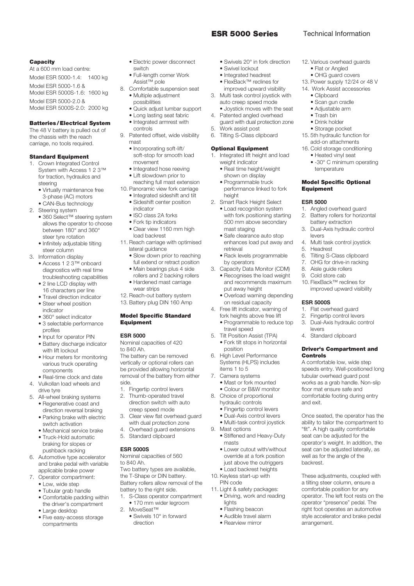# ESR 5000 Series Technical Information

12. Various overhead guards • Flat or Angled • OHG guard covers 13. Power supply 12/24 or 48 V 14. Work Assist accessories • Clipboard • Scan gun cradle • Adjustable arm • Trash bin • Drink holder • Storage pocket 15. 5th hydraulic function for add-on attachments 16. Cold storage conditioning • Heated vinyl seat • -30° C minimum operating

temperature

Equipment **ESR 5000**

levers

5. Headrest

**ESR 5000S**

levers 4. Standard clipboard

Controls

and exit.

backrest.

arrangement.

Model Specific Optional

1. Angled overhead guard 2. Battery rollers for horizontal battery extraction 3. Dual-Axis hydraulic control

4. Multi task control joystick

6. Tilting S-Class clipboard<br>7. OHG for drive-in racking OHG for drive-in racking

8. Aisle guide rollers 9. Cold store cab 10. FlexBack™ reclines for improved upward visibility

1. Flat overhead guard 2. Fingertip control levers 3. Dual-Axis hydraulic control

Driver's Compartment and

Once seated, the operator has the ability to tailor the compartment to "fit". A high quality comfortable seat can be adjusted for the operator's weight. In addition, the seat can be adjusted laterally, as well as for the angle of the

These adjustments, coupled with a tilting steer column, ensure a comfortable position for any operator. The left foot rests on the operator "presence" pedal. The right foot operates an automotive style accelerator and brake pedal

A comfortable low, wide step speeds entry. Well-positioned long tubular overhead guard post works as a grab handle. Non-slip floor mat ensure safe and comfortable footing during entry

#### **Capacity**

At a 600 mm load centre:

Model ESR 5000-1.4: 1400 kg Model ESR 5000-1.6 & Model ESR 5000S-1.6: 1600 kg Model ESR 5000-2.0 &

Model ESR 5000S-2.0: 2000 kg

## Batteries / Electrical System

The 48 V battery is pulled out of the chassis with the reach carriage, no tools required.

### Standard Equipment

- 1. Crown Integrated Control System with Access 1 2 3™ for traction, hydraulics and steering
	- Virtually maintenance free 3-phase (AC) motors
	- CAN-Bus technology
- 2. Steering system
	- 360 Select™ steering system allows the operator to choose between 180° and 360° steer tyre rotation
	- Infinitely adjustable tilting steer column
- 3. Information display
	- Access 1 2 3™ onboard diagnostics with real time troubleshooting capabilities
	- 2 line LCD display with 16 characters per line
	- Travel direction indicator
	- Steer wheel position indicator
	- 360° select indicator • 3 selectable performance
	- profiles • Input for operator PIN
	- Battery discharge indicator with lift lockout
	- Hour meters for monitoring various truck operating components
- Real-time clock and date 4. Vulkollan load wheels and
	- drive tyre
- 5. All-wheel braking systems • Regenerative coast and
	- direction reversal braking • Parking brake with electric
	- switch activation
	- Mechanical service brake
	- Truck-Hold automatic braking for slopes or pushback racking
- 6. Automotive type accelerator and brake pedal with variable applicable brake power
- 7. Operator compartment:
	- Low, wide step
	- Tubular grab handle
	- Comfortable padding within the driver's compartment
	- Large desktop
	- Five easy-access storage compartments
- Electric power disconnect switch
- Full-length corner Work Assist™ pole
- 8. Comfortable suspension seat • Multiple adjustment possibilities
	- Quick adjust lumbar support
	- Long lasting seat fabric
	- Integrated armrest with controls
- 9. Patented offset, wide visibility mast
	- Incorporating soft-lift/ soft-stop for smooth load movement
	- Integrated hose reeving • Lift slowdown prior to
- reaching full mast extension 10. Panoramic view fork carriage
	- Integrated sideshift and tilt
	- Sideshift center position
	- indicator
	- ISO class 2A forks
	- Fork tip indicators • Clear view 1160 mm high
- load backrest 11. Reach carriage with optimised
- lateral guidance • Slow down prior to reaching
	- full extend or retract position
- Main bearings plus 4 side rollers and 2 backing rollers • Hardened mast carriage
- wear strips 12. Reach-out battery system
- 13. Battery plug DIN 160 Amp

#### Model Specific Standard Equipment

#### **ESR 5000**

Nominal capacities of 420 to 840 Ah. The battery can be removed vertically or optional rollers can be provided allowing horizontal

removal of the battery from either side. 1. Fingertip control levers

- 2. Thumb-operated travel
- direction switch with auto creep speed mode
- 3. Clear view flat overhead guard with dual protection zone
- 4. Overhead guard extensions
- 5. Standard clipboard

#### **ESR 5000S**

Nominal capacities of 560 to 840 Ah.

Two battery types are available, the T-Shape or DIN battery. Battery rollers allow removal of the

- battery to the right side. 1. S-Class operator compartment
- 170 mm wider legroom 2. MoveSeat™
	- Swivels 10° in forward direction
- Swivels 20° in fork direction
- Swivel lockout
- Integrated headrest
- FlexBack™ reclines for improved upward visibility
- 3. Multi task control joystick with auto creep speed mode
- Joystick moves with the seat 4. Patented angled overhead
- guard with dual protection zone
- 5. Work assist post
- 6. Tilting S-Class clipboard

#### Optional Equipment

- 1. Integrated lift height and load weight indicator • Real time height/weight
	- shown on display • Programmable truck
	- performance linked to fork height
- 2. Smart Rack Height Select
	- Load recognition system with fork positioning starting 500 mm above secondary mast staging
	- Safe clearance auto stop enhances load put away and retrieval
	- Rack levels programmable by operators

3. Capacity Data Monitor (CDM)

- Recognises the load weight and recommends maximum put away height
- Overload warning depending on residual capacity
- 4. Free lift indicator, warning of fork heights above free lift
	- Programmable to reduce top travel speed
- 5. Tilt Position Assist (TPA)
	- Fork tilt stops in horizontal position
- 6. High Level Performance Systems (HLPS) includes items 1 to 5

• Mast or fork mounted • Colour or B&W monitor 8. Choice of proportional hydraulic controls • Fingertip control levers • Dual-Axis control levers • Multi-task control joystick

• Stiffened and Heavy-Duty

• Lower cutout with/without override at a fork position just above the outriggers • Load backrest heights 10. Keyless start-up with PIN code

11. Light & safety packages: • Driving, work and reading

7. Camera systems

9. Mast options

masts

lights • Flashing beacon • Audible travel alarm • Rearview mirror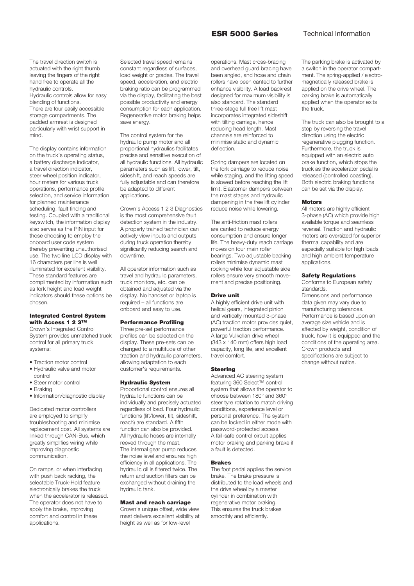The travel direction switch is actuated with the right thumb leaving the fingers of the right hand free to operate all the hydraulic controls. Hydraulic controls allow for easy blending of functions. There are four easily accessible storage compartments. The padded armrest is designed particularly with wrist support in mind.

The display contains information on the truck's operating status, a battery discharge indicator, a travel direction indicator, steer wheel position indicator, hour meters for various truck operations, performance profile selection, and service information for planned maintenance scheduling, fault finding and testing. Coupled with a traditional keyswitch, the information display also serves as the PIN input for those choosing to employ the onboard user code system thereby preventing unauthorised use. The two line LCD display with 16 characters per line is well illuminated for excellent visibility. These standard features are complimented by information such as fork height and load weight indicators should these options be chosen.

#### Integrated Control System with Access 1 2 3™

Crown's Integrated Control System provides unmatched truck control for all primary truck systems:

- Traction motor control
- Hydraulic valve and motor control
- Steer motor control
- Braking
- Information/diagnostic display

Dedicated motor controllers are employed to simplify troubleshooting and minimise replacement cost. All systems are linked through CAN-Bus, which greatly simplifies wiring while improving diagnostic communication.

On ramps, or when interfacing with push back racking, the selectable Truck-Hold feature electronically brakes the truck when the accelerator is released. The operator does not have to apply the brake, improving comfort and control in these applications.

Selected travel speed remains constant regardless of surfaces, load weight or grades. The travel speed, acceleration, and electric braking ratio can be programmed via the display, facilitating the best possible productivity and energy consumption for each application. Regenerative motor braking helps save energy.

The control system for the hydraulic pump motor and all proportional hydraulics facilitates precise and sensitive execution of all hydraulic functions. All hydraulic parameters such as lift, lower, tilt, sideshift, and reach speeds are fully adjustable and can therefore be adapted to different applications.

Crown's Access 1 2 3 Diagnostics is the most comprehensive fault detection system in the industry. A properly trained technician can actively view inputs and outputs during truck operation thereby significantly reducing search and downtime.

All operator information such as travel and hydraulic parameters, truck monitors, etc. can be obtained and adjusted via the display. No handset or laptop is required – all functions are onboard and easy to use.

#### Performance Profiling

Three pre-set performance profiles can be selected on the display. These pre-sets can be changed to a multitude of other traction and hydraulic parameters, allowing adaptation to each customer's requirements.

#### Hydraulic System

Proportional control ensures all hydraulic functions can be individually and precisely actuated regardless of load. Four hydraulic functions (lift/lower, tilt, sideshift, reach) are standard. A fifth function can also be provided. All hydraulic hoses are internally reeved through the mast. The internal gear pump reduces the noise level and ensures high efficiency in all applications. The hydraulic oil is filtered twice. The return and suction filters can be exchanged without draining the hydraulic tank.

#### Mast and reach carriage

Crown's unique offset, wide view mast delivers excellent visibility at height as well as for low-level

operations. Mast cross-bracing and overhead guard bracing have been angled, and hose and chain rollers have been canted to further enhance visibility. A load backrest designed for maximum visibility is also standard. The standard three-stage full free lift mast incorporates integrated sideshift with tilting carriage, hence reducing head length. Mast channels are reinforced to minimise static and dynamic deflection.

Spring dampers are located on the fork carriage to reduce noise while staging, and the lifting speed is slowed before reaching the lift limit. Elastomer dampers between the mast stages and hydraulic dampening in the free lift cylinder reduce noise while lowering.

The anti-friction mast rollers are canted to reduce energy consumption and ensure longer life. The heavy-duty reach carriage moves on four main roller bearings. Two adjustable backing rollers minimise dynamic mast rocking while four adjustable side rollers ensure very smooth movement and precise positioning.

#### Drive unit

A highly efficient drive unit with helical gears, integrated pinion and vertically mounted 3-phase (AC) traction motor provides quiet, powerful traction performance. A large Vulkollan drive wheel (343 x 140 mm) offers high load capacity, long life, and excellent travel comfort.

#### **Steering**

Advanced AC steering system featuring 360 Select™ control system that allows the operator to choose between 180° and 360° steer tyre rotation to match driving conditions, experience level or personal preference. The system can be locked in either mode with password-protected access. A fail-safe control circuit applies motor braking and parking brake if a fault is detected.

#### Brakes

The foot pedal applies the service brake. The brake pressure is distributed to the load wheels and the drive wheel by a master cylinder in combination with regenerative motor braking. This ensures the truck brakes smoothly and efficiently.

The parking brake is activated by a switch in the operator compartment. The spring-applied / electromagnetically released brake is applied on the drive wheel. The parking brake is automatically applied when the operator exits the truck.

The truck can also be brought to a stop by reversing the travel direction using the electric regenerative plugging function. Furthermore, the truck is equipped with an electric auto brake function, which stops the truck as the accelerator pedal is released (controlled coasting). Both electric braking functions can be set via the display.

#### **Motors**

All motors are highly efficient 3-phase (AC) which provide high available torque and seamless reversal. Traction and hydraulic motors are oversized for superior thermal capability and are especially suitable for high loads and high ambient temperature applications.

#### Safety Regulations

Conforms to European safety standards.

Dimensions and performance data given may vary due to manufacturing tolerances. Performance is based upon an average size vehicle and is affected by weight, condition of truck, how it is equipped and the conditions of the operating area. Crown products and specifications are subject to change without notice.